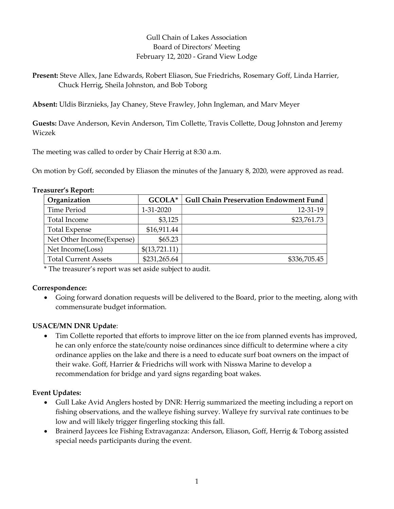# Gull Chain of Lakes Association Board of Directors' Meeting February 12, 2020 - Grand View Lodge

Present: Steve Allex, Jane Edwards, Robert Eliason, Sue Friedrichs, Rosemary Goff, Linda Harrier, Chuck Herrig, Sheila Johnston, and Bob Toborg

Absent: Uldis Birznieks, Jay Chaney, Steve Frawley, John Ingleman, and Marv Meyer

Guests: Dave Anderson, Kevin Anderson, Tim Collette, Travis Collette, Doug Johnston and Jeremy Wiczek

The meeting was called to order by Chair Herrig at 8:30 a.m.

On motion by Goff, seconded by Eliason the minutes of the January 8, 2020, were approved as read.

| Organization                | GCOLA*        | <b>Gull Chain Preservation Endowment Fund</b> |
|-----------------------------|---------------|-----------------------------------------------|
| Time Period                 | 1-31-2020     | 12-31-19                                      |
| Total Income                | \$3,125       | \$23,761.73                                   |
| <b>Total Expense</b>        | \$16,911.44   |                                               |
| Net Other Income(Expense)   | \$65.23       |                                               |
| Net Income(Loss)            | \$(13,721.11) |                                               |
| <b>Total Current Assets</b> | \$231,265.64  | \$336,705.45                                  |

## Treasurer's Report:

\* The treasurer's report was set aside subject to audit.

## Correspondence:

 Going forward donation requests will be delivered to the Board, prior to the meeting, along with commensurate budget information.

# USACE/MN DNR Update:

 Tim Collette reported that efforts to improve litter on the ice from planned events has improved, he can only enforce the state/county noise ordinances since difficult to determine where a city ordinance applies on the lake and there is a need to educate surf boat owners on the impact of their wake. Goff, Harrier & Friedrichs will work with Nisswa Marine to develop a recommendation for bridge and yard signs regarding boat wakes.

## Event Updates:

- Gull Lake Avid Anglers hosted by DNR: Herrig summarized the meeting including a report on fishing observations, and the walleye fishing survey. Walleye fry survival rate continues to be low and will likely trigger fingerling stocking this fall.
- Brainerd Jaycees Ice Fishing Extravaganza: Anderson, Eliason, Goff, Herrig & Toborg assisted special needs participants during the event.